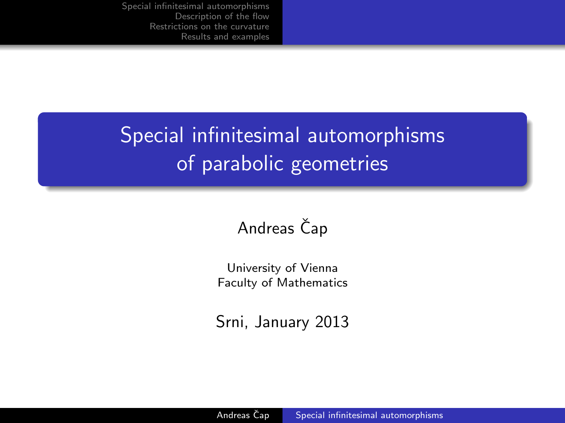# Special infinitesimal automorphisms of parabolic geometries

## Andreas Čap

University of Vienna Faculty of Mathematics

<span id="page-0-0"></span>Srni, January 2013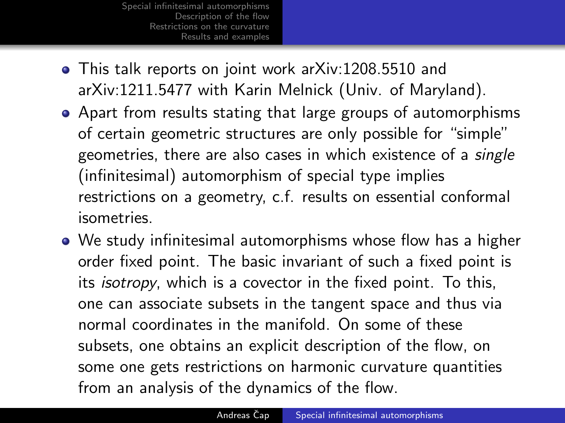- This talk reports on joint work arXiv:1208.5510 and arXiv:1211.5477 with Karin Melnick (Univ. of Maryland).
- Apart from results stating that large groups of automorphisms of certain geometric structures are only possible for "simple" geometries, there are also cases in which existence of a single (infinitesimal) automorphism of special type implies restrictions on a geometry, c.f. results on essential conformal isometries.
- We study infinitesimal automorphisms whose flow has a higher order fixed point. The basic invariant of such a fixed point is its isotropy, which is a covector in the fixed point. To this, one can associate subsets in the tangent space and thus via normal coordinates in the manifold. On some of these subsets, one obtains an explicit description of the flow, on some one gets restrictions on harmonic curvature quantities from an analysis of the dynamics of the flow.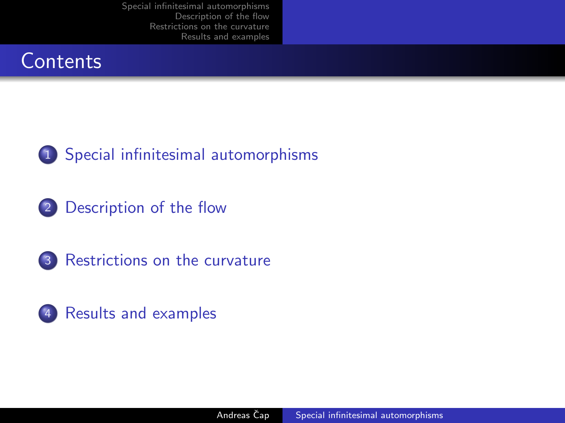## **Contents**



2 [Description of the flow](#page-8-0)



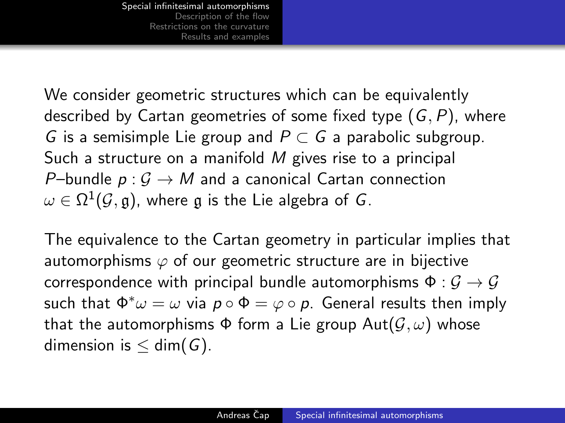We consider geometric structures which can be equivalently described by Cartan geometries of some fixed type  $(G, P)$ , where G is a semisimple Lie group and  $P \subset G$  a parabolic subgroup. Such a structure on a manifold M gives rise to a principal P–bundle  $p: G \to M$  and a canonical Cartan connection  $\omega \in \Omega^1(\mathcal{G},\mathfrak{g}),$  where  $\mathfrak g$  is the Lie algebra of  $G.$ 

<span id="page-3-0"></span>The equivalence to the Cartan geometry in particular implies that automorphisms  $\varphi$  of our geometric structure are in bijective correspondence with principal bundle automorphisms  $\Phi : \mathcal{G} \to \mathcal{G}$ such that  $\Phi^* \omega = \omega$  via  $p \circ \Phi = \varphi \circ p$ . General results then imply that the automorphisms  $\Phi$  form a Lie group  $Aut(\mathcal{G}, \omega)$  whose dimension is  $\leq$  dim(G).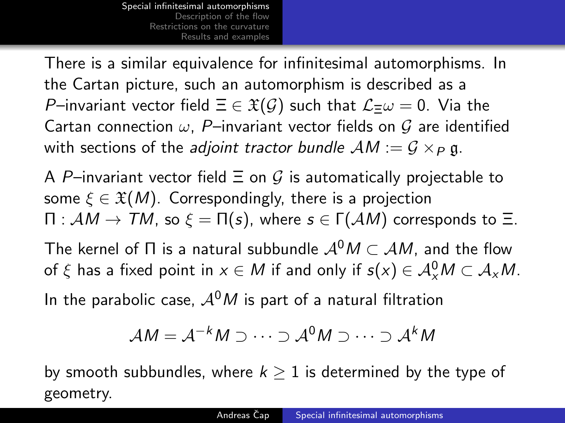There is a similar equivalence for infinitesimal automorphisms. In the Cartan picture, such an automorphism is described as a P–invariant vector field  $\Xi \in \mathfrak{X}(\mathcal{G})$  such that  $\mathcal{L}=\omega=0$ . Via the Cartan connection  $\omega$ , P-invariant vector fields on G are identified with sections of the *adjoint tractor bundle*  $AM := G \times_P \mathfrak{g}$ .

A P–invariant vector field  $\Xi$  on G is automatically projectable to some  $\xi \in \mathfrak{X}(M)$ . Correspondingly, there is a projection  $\Pi : AM \rightarrow TM$ , so  $\xi = \Pi(s)$ , where  $s \in \Gamma(AM)$  corresponds to  $\Xi$ .

The kernel of  $\Pi$  is a natural subbundle  $\mathcal{A}^0M \subset \mathcal{A}M$ , and the flow of  $\xi$  has a fixed point in  $x \in M$  if and only if  $s(x) \in \mathcal{A}_{x}^{0}M \subset \mathcal{A}_{x}M$ .

In the parabolic case,  $A^{0}M$  is part of a natural filtration

$$
\mathcal{A}M=\mathcal{A}^{-k}M\supset\cdots\supset\mathcal{A}^0M\supset\cdots\supset\mathcal{A}^kM
$$

by smooth subbundles, where  $k \geq 1$  is determined by the type of geometry.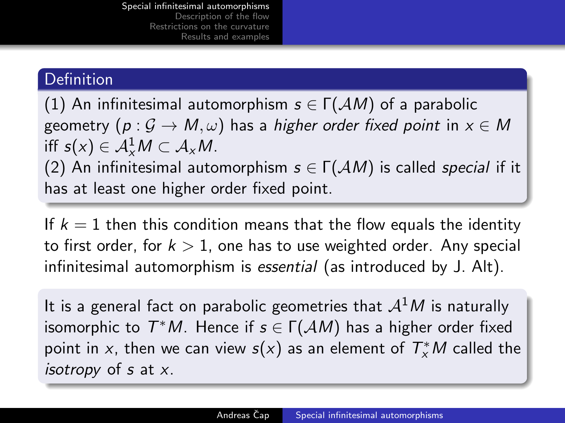## **Definition**

(1) An infinitesimal automorphism  $s \in \Gamma(\mathcal{A}M)$  of a parabolic geometry (p :  $G \rightarrow M, \omega$ ) has a higher order fixed point in  $x \in M$ iff  $s(x) \in \mathcal{A}_x^1 M \subset \mathcal{A}_x M$ .

(2) An infinitesimal automorphism  $s \in \Gamma(\mathcal{A}M)$  is called *special* if it has at least one higher order fixed point.

If  $k = 1$  then this condition means that the flow equals the identity to first order, for  $k > 1$ , one has to use weighted order. Any special infinitesimal automorphism is essential (as introduced by J. Alt).

It is a general fact on parabolic geometries that  $A<sup>1</sup>M$  is naturally isomorphic to  $T^*M$ . Hence if  $s \in \Gamma(\mathcal AM)$  has a higher order fixed point in x, then we can view  $s(x)$  as an element of  $T_{x}^{\ast}M$  called the isotropy of  $s$  at  $x$ .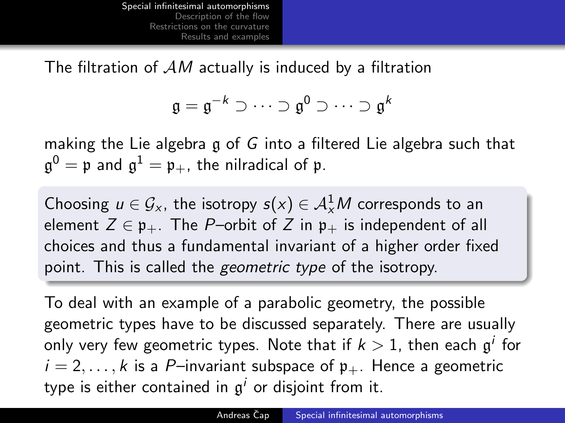The filtration of  $AM$  actually is induced by a filtration

$$
\mathfrak{g}=\mathfrak{g}^{-k}\supset\cdots\supset\mathfrak{g}^0\supset\cdots\supset\mathfrak{g}^k
$$

making the Lie algebra g of G into a filtered Lie algebra such that  $\mathfrak{g}^0 = \mathfrak{p}$  and  $\mathfrak{g}^1 = \mathfrak{p}_+$ , the nilradical of  $\mathfrak{p}.$ 

Choosing  $u \in \mathcal{G}_{x}$ , the isotropy  $s(x) \in \mathcal{A}_{x}^{1}M$  corresponds to an element  $Z \in \mathfrak{p}_+$ . The P-orbit of Z in  $\mathfrak{p}_+$  is independent of all choices and thus a fundamental invariant of a higher order fixed point. This is called the *geometric type* of the isotropy.

To deal with an example of a parabolic geometry, the possible geometric types have to be discussed separately. There are usually only very few geometric types. Note that if  $k>1,$  then each  $\mathfrak{g}^i$  for  $i = 2, \ldots, k$  is a P-invariant subspace of  $\mathfrak{p}_+$ . Hence a geometric type is either contained in  $\mathfrak{g}^i$  or disjoint from it.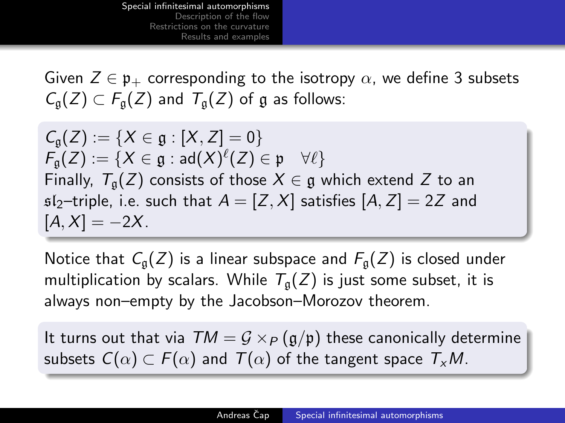Given  $Z \in \mathfrak{p}_+$  corresponding to the isotropy  $\alpha$ , we define 3 subsets  $C_{\alpha}(Z) \subset F_{\alpha}(Z)$  and  $T_{\alpha}(Z)$  of g as follows:

 $C_{\alpha}(Z) := \{X \in \mathfrak{g} : [X, Z] = 0\}$  $\mathcal{F}_{\mathfrak{g}}(Z):=\{X\in \mathfrak{g}:\mathsf{ad}(X)^{\ell}(Z)\in \mathfrak{p}\quad \forall \ell\}$ Finally,  $T_{\alpha}(Z)$  consists of those  $X \in \mathfrak{g}$  which extend Z to an  $s1<sub>2</sub>$ -triple, i.e. such that  $A = [Z, X]$  satisfies  $[A, Z] = 2Z$  and  $[A, X] = -2X$ .

Notice that  $C_{\mathfrak{a}}(Z)$  is a linear subspace and  $F_{\mathfrak{a}}(Z)$  is closed under multiplication by scalars. While  $T_{\alpha}(Z)$  is just some subset, it is always non–empty by the Jacobson–Morozov theorem.

It turns out that via  $TM = G \times_P (g/p)$  these canonically determine subsets  $C(\alpha) \subset F(\alpha)$  and  $T(\alpha)$  of the tangent space  $T_xM$ .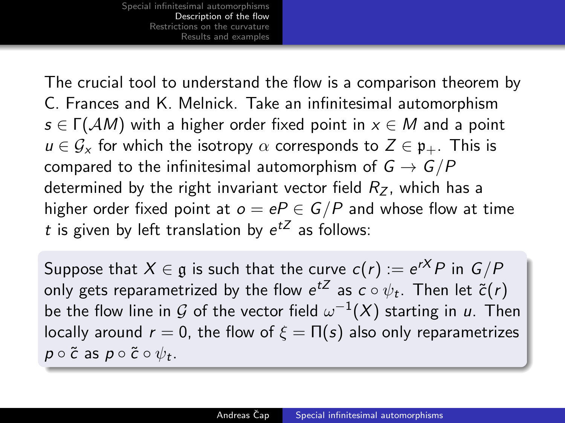The crucial tool to understand the flow is a comparison theorem by C. Frances and K. Melnick. Take an infinitesimal automorphism  $s \in \Gamma(\mathcal{A}M)$  with a higher order fixed point in  $x \in M$  and a point  $u \in \mathcal{G}_x$  for which the isotropy  $\alpha$  corresponds to  $Z \in \mathfrak{p}_+$ . This is compared to the infinitesimal automorphism of  $G \rightarrow G/P$ determined by the right invariant vector field  $R_z$ , which has a higher order fixed point at  $o = eP \in G/P$  and whose flow at time t is given by left translation by  $e^{tZ}$  as follows:

<span id="page-8-0"></span>Suppose that  $X \in \mathfrak{g}$  is such that the curve  $c(r) := e^{rX} P$  in  $G/P$ only gets reparametrized by the flow  $e^{tZ}$  as  $c\circ\psi_t.$  Then let  $\widetilde{c}(r)$ be the flow line in  ${\mathcal G}$  of the vector field  $\omega^{-1}(X)$  starting in  $u.$  Then locally around  $r = 0$ , the flow of  $\xi = \Pi(s)$  also only reparametrizes  $p\circ\tilde{c}$  as  $p\circ\tilde{c}\circ\psi_t.$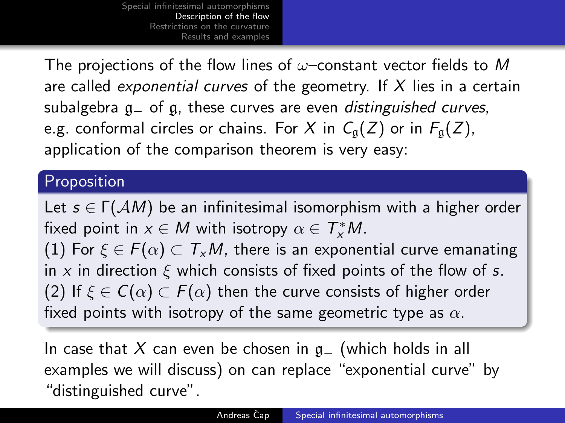The projections of the flow lines of  $\omega$ –constant vector fields to M are called *exponential curves* of the geometry. If  $X$  lies in a certain subalgebra q of q, these curves are even *distinguished curves*, e.g. conformal circles or chains. For X in  $C_{\mathfrak{q}}(Z)$  or in  $F_{\mathfrak{q}}(Z)$ , application of the comparison theorem is very easy:

### Proposition

Let  $s \in \Gamma(\mathcal{A}M)$  be an infinitesimal isomorphism with a higher order fixed point in  $x \in M$  with isotropy  $\alpha \in \mathcal{T}_{\mathsf{x}}^* M$ . (1) For  $\xi \in F(\alpha) \subset T_xM$ , there is an exponential curve emanating in x in direction  $\xi$  which consists of fixed points of the flow of s. (2) If  $\xi \in C(\alpha) \subset F(\alpha)$  then the curve consists of higher order fixed points with isotropy of the same geometric type as  $\alpha$ .

In case that X can even be chosen in  $g_+$  (which holds in all examples we will discuss) on can replace "exponential curve" by "distinguished curve".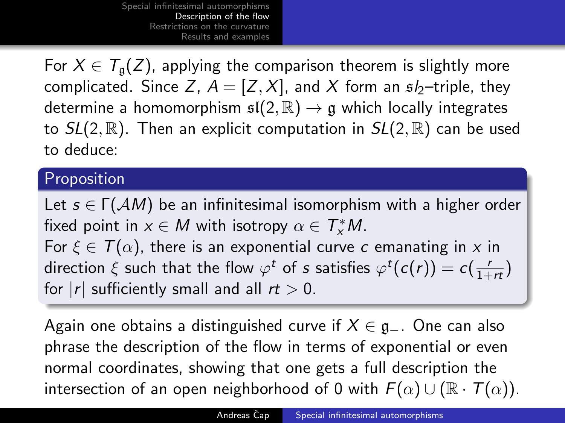For  $X \in T_{\mathfrak{a}}(Z)$ , applying the comparison theorem is slightly more complicated. Since Z,  $A = [Z, X]$ , and X form an  $\mathfrak{s}/_2$ -triple, they determine a homomorphism  $\mathfrak{sl}(2,\mathbb{R}) \to \mathfrak{g}$  which locally integrates to  $SL(2,\mathbb{R})$ . Then an explicit computation in  $SL(2,\mathbb{R})$  can be used to deduce:

### Proposition

Let  $s \in \Gamma(\mathcal{A}M)$  be an infinitesimal isomorphism with a higher order fixed point in  $x \in M$  with isotropy  $\alpha \in T^*_xM$ . For  $\xi \in T(\alpha)$ , there is an exponential curve c emanating in x in direction  $\xi$  such that the flow  $\varphi^t$  of s satisfies  $\varphi^t(c(r)) = c(\frac{r}{1+r\tau})$ for  $|r|$  sufficiently small and all  $rt > 0$ .

Again one obtains a distinguished curve if  $X \in \mathfrak{g}_-$ . One can also phrase the description of the flow in terms of exponential or even normal coordinates, showing that one gets a full description the intersection of an open neighborhood of 0 with  $F(\alpha) \cup (\mathbb{R} \cdot \mathcal{T}(\alpha))$ .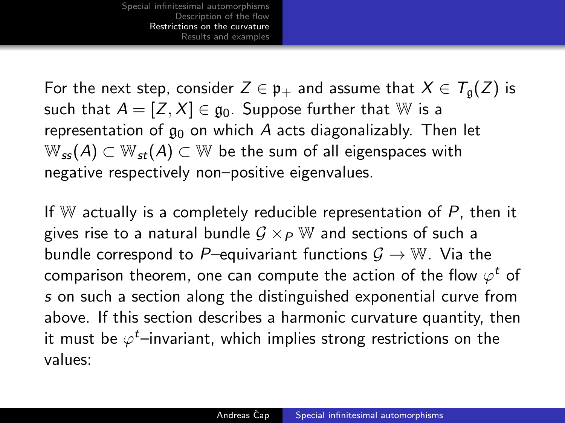For the next step, consider  $Z \in \mathfrak{p}_+$  and assume that  $X \in \mathcal{T}_{\mathfrak{a}}(Z)$  is such that  $A = [Z, X] \in \mathfrak{g}_0$ . Suppose further that W is a representation of  $g_0$  on which A acts diagonalizably. Then let  $W_{ss}(A) \subset W_{st}(A) \subset W$  be the sum of all eigenspaces with negative respectively non–positive eigenvalues.

<span id="page-11-0"></span>If W actually is a completely reducible representation of  $P$ , then it gives rise to a natural bundle  $G \times_{P} \mathbb{W}$  and sections of such a bundle correspond to P–equivariant functions  $\mathcal{G} \to \mathbb{W}$ . Via the comparison theorem, one can compute the action of the flow  $\varphi^t$  of s on such a section along the distinguished exponential curve from above. If this section describes a harmonic curvature quantity, then it must be  $\varphi^t$ –invariant, which implies strong restrictions on the values: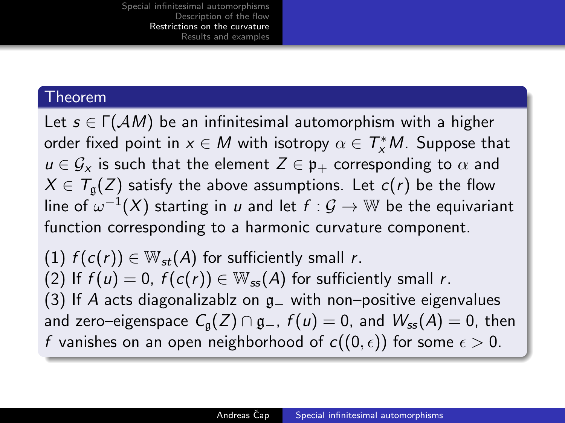#### Theorem

Let  $s \in \Gamma(\mathcal{A}M)$  be an infinitesimal automorphism with a higher order fixed point in  $x \in M$  with isotropy  $\alpha \in \mathcal{T}^*_xM$ . Suppose that  $u \in \mathcal{G}_x$  is such that the element  $Z \in \mathfrak{p}_+$  corresponding to  $\alpha$  and  $X \in T_{\mathfrak{a}}(Z)$  satisfy the above assumptions. Let  $c(r)$  be the flow line of  $\omega^{-1}(X)$  starting in  $u$  and let  $f: \mathcal{G} \rightarrow \mathbb{W}$  be the equivariant function corresponding to a harmonic curvature component.

(1)  $f(c(r)) \in W_{st}(A)$  for sufficiently small r. (2) If  $f(u) = 0$ ,  $f(c(r)) \in W_{ss}(A)$  for sufficiently small r. (3) If A acts diagonalizablz on  $g$  with non–positive eigenvalues and zero–eigenspace  $C_q(Z) \cap q_-, f(u) = 0$ , and  $W_{ss}(A) = 0$ , then f vanishes on an open neighborhood of  $c((0, \epsilon))$  for some  $\epsilon > 0$ .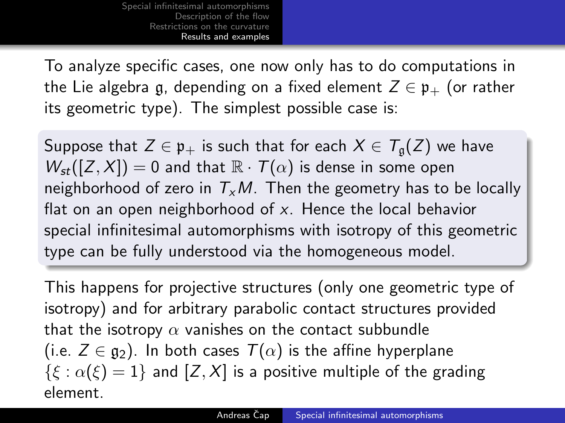To analyze specific cases, one now only has to do computations in the Lie algebra g, depending on a fixed element  $Z \in \mathfrak{p}_+$  (or rather its geometric type). The simplest possible case is:

Suppose that  $Z \in \mathfrak{p}_+$  is such that for each  $X \in \mathcal{T}_{\mathfrak{a}}(Z)$  we have  $W_{st}([Z, X]) = 0$  and that  $\mathbb{R} \cdot \mathcal{T}(\alpha)$  is dense in some open neighborhood of zero in  $T_xM$ . Then the geometry has to be locally flat on an open neighborhood of  $x$ . Hence the local behavior special infinitesimal automorphisms with isotropy of this geometric type can be fully understood via the homogeneous model.

<span id="page-13-0"></span>This happens for projective structures (only one geometric type of isotropy) and for arbitrary parabolic contact structures provided that the isotropy  $\alpha$  vanishes on the contact subbundle (i.e.  $Z \in \mathfrak{g}_2$ ). In both cases  $T(\alpha)$  is the affine hyperplane  $\{\xi : \alpha(\xi) = 1\}$  and  $[Z, X]$  is a positive multiple of the grading element.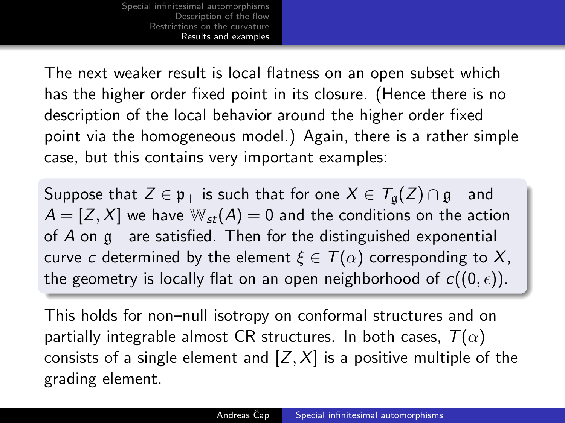The next weaker result is local flatness on an open subset which has the higher order fixed point in its closure. (Hence there is no description of the local behavior around the higher order fixed point via the homogeneous model.) Again, there is a rather simple case, but this contains very important examples:

Suppose that  $Z \in \mathfrak{p}_+$  is such that for one  $X \in \mathcal{T}_{\mathfrak{a}}(Z) \cap \mathfrak{g}_-$  and  $A = [Z, X]$  we have  $\mathbb{W}_{st}(A) = 0$  and the conditions on the action of A on g<sup>−</sup> are satisfied. Then for the distinguished exponential curve c determined by the element  $\xi \in T(\alpha)$  corresponding to X, the geometry is locally flat on an open neighborhood of  $c((0, \epsilon))$ .

This holds for non–null isotropy on conformal structures and on partially integrable almost CR structures. In both cases,  $T(\alpha)$ consists of a single element and  $[Z, X]$  is a positive multiple of the grading element.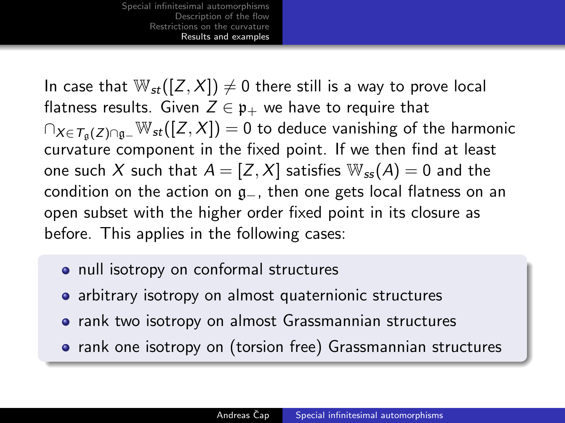In case that  $\mathbb{W}_{st}([Z, X]) \neq 0$  there still is a way to prove local flatness results. Given  $Z \in \mathfrak{p}_+$  we have to require that  $\bigcap_{X \in \mathcal{T}_{\alpha}(Z) \cap \mathfrak{g}_-} \mathbb{W}_{st}([Z,X]) = 0$  to deduce vanishing of the harmonic curvature component in the fixed point. If we then find at least one such X such that  $A = [Z, X]$  satisfies  $\mathbb{W}_{ss}(A) = 0$  and the condition on the action on g−, then one gets local flatness on an open subset with the higher order fixed point in its closure as before. This applies in the following cases:

- null isotropy on conformal structures
- arbitrary isotropy on almost quaternionic structures
- **•** rank two isotropy on almost Grassmannian structures
- rank one isotropy on (torsion free) Grassmannian structures